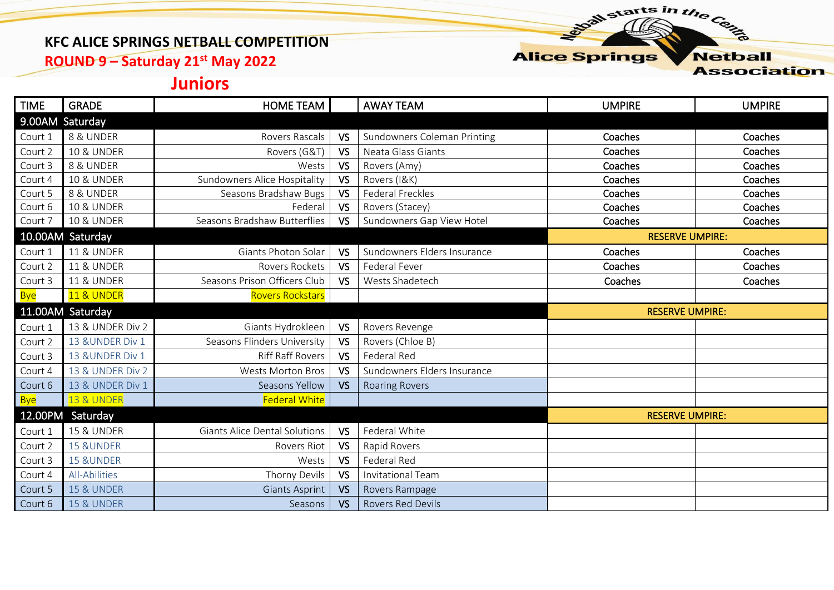#### **KFC ALICE SPRINGS NETBALL COMPETITION**

**ROUND 9 – Saturday 21st May 2022**

#### **Alice Springs Netball**

starts in the Centre

**Association** 

## **Juniors**

| <b>TIME</b> | <b>GRADE</b>          | <b>HOME TEAM</b>                     |           | <b>AWAY TEAM</b>            | <b>UMPIRE</b>          | <b>UMPIRE</b> |  |
|-------------|-----------------------|--------------------------------------|-----------|-----------------------------|------------------------|---------------|--|
|             | 9.00AM Saturday       |                                      |           |                             |                        |               |  |
| Court 1     | 8 & UNDER             | Rovers Rascals                       | <b>VS</b> | Sundowners Coleman Printing | Coaches                | Coaches       |  |
| Court 2     | <b>10 &amp; UNDER</b> | Rovers (G&T)                         | <b>VS</b> | Neata Glass Giants          | Coaches                | Coaches       |  |
| Court 3     | 8 & UNDER             | Wests                                | <b>VS</b> | Rovers (Amy)                | Coaches                | Coaches       |  |
| Court 4     | <b>10 &amp; UNDER</b> | Sundowners Alice Hospitality         | <b>VS</b> | Rovers (I&K)                | Coaches                | Coaches       |  |
| Court 5     | 8 & UNDER             | Seasons Bradshaw Bugs                | <b>VS</b> | <b>Federal Freckles</b>     | Coaches                | Coaches       |  |
| Court 6     | <b>10 &amp; UNDER</b> | Federal                              | <b>VS</b> | Rovers (Stacey)             | Coaches                | Coaches       |  |
| Court 7     | <b>10 &amp; UNDER</b> | Seasons Bradshaw Butterflies         | <b>VS</b> | Sundowners Gap View Hotel   | Coaches                | Coaches       |  |
|             | 10.00AM Saturday      |                                      |           |                             | <b>RESERVE UMPIRE:</b> |               |  |
| Court 1     | <b>11 &amp; UNDER</b> | Giants Photon Solar                  | <b>VS</b> | Sundowners Elders Insurance | Coaches                | Coaches       |  |
| Court 2     | <b>11 &amp; UNDER</b> | Rovers Rockets                       | <b>VS</b> | Federal Fever               | Coaches                | Coaches       |  |
| Court 3     | <b>11 &amp; UNDER</b> | Seasons Prison Officers Club         | <b>VS</b> | Wests Shadetech             | Coaches                | Coaches       |  |
| <b>Bye</b>  | <b>11 &amp; UNDER</b> | <b>Rovers Rockstars</b>              |           |                             |                        |               |  |
|             |                       |                                      |           |                             | <b>RESERVE UMPIRE:</b> |               |  |
|             | 11.00AM Saturday      |                                      |           |                             |                        |               |  |
| Court 1     | 13 & UNDER Div 2      | Giants Hydrokleen                    | <b>VS</b> | Rovers Revenge              |                        |               |  |
| Court 2     | 13 & UNDER Div 1      | Seasons Flinders University          | <b>VS</b> | Rovers (Chloe B)            |                        |               |  |
| Court 3     | 13 & UNDER Div 1      | <b>Riff Raff Rovers</b>              | <b>VS</b> | Federal Red                 |                        |               |  |
| Court 4     | 13 & UNDER Div 2      | <b>Wests Morton Bros</b>             | <b>VS</b> | Sundowners Elders Insurance |                        |               |  |
| Court 6     | 13 & UNDER Div 1      | Seasons Yellow                       | <b>VS</b> | <b>Roaring Rovers</b>       |                        |               |  |
| <b>Bye</b>  | <b>13 &amp; UNDER</b> | <b>Federal White</b>                 |           |                             |                        |               |  |
|             | 12.00PM Saturday      |                                      |           |                             | <b>RESERVE UMPIRE:</b> |               |  |
| Court 1     | <b>15 &amp; UNDER</b> | <b>Giants Alice Dental Solutions</b> | <b>VS</b> | Federal White               |                        |               |  |
| Court 2     | <b>15 &amp;UNDER</b>  | Rovers Riot                          | <b>VS</b> | Rapid Rovers                |                        |               |  |
| Court 3     | <b>15 &amp;UNDER</b>  | Wests                                | <b>VS</b> | Federal Red                 |                        |               |  |
| Court 4     | All-Abilities         | Thorny Devils                        | <b>VS</b> | <b>Invitational Team</b>    |                        |               |  |
| Court 5     | <b>15 &amp; UNDER</b> | <b>Giants Asprint</b>                | <b>VS</b> | Rovers Rampage              |                        |               |  |